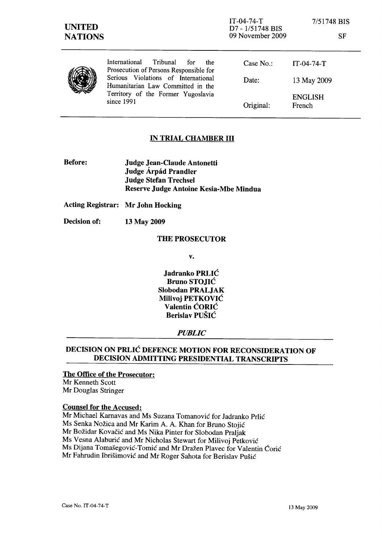| <b>UNITED</b><br><b>NATIONS</b> |                                                                                                                              | $IT-04-74-T$<br>D7 - 1/51748 BIS<br>09 November 2009 | 7/51748 BIS<br>SF        |
|---------------------------------|------------------------------------------------------------------------------------------------------------------------------|------------------------------------------------------|--------------------------|
|                                 | International<br>Tribunal<br>for<br>the<br>Prosecution of Persons Responsible for                                            | Case $No.$ :                                         | $IT-04-74-T$             |
|                                 | Serious Violations of International<br>Humanitarian Law Committed in the<br>Territory of the Former Yugoslavia<br>since 1991 | Date:                                                | 13 May 2009              |
|                                 |                                                                                                                              | Original:                                            | <b>ENGLISH</b><br>French |

# IN TRIAL CHAMBER **III**

Before: Judge Jean-Claude Antonetti Judge Árpád Prandler Judge Stefan Trechsel Reserve Judge Antoine Kesia-Mbe Mindua

Acting Registrar: Mr John Hocking

Decision of: 13 May 2009

#### THE PROSECUTOR

v.

Jadranko PRLIC Bruno STOJIC Slobodan PRALJAK Milivoj PETKOVIC Valentin CORIC Berislav PUSIC

# *PUBLIC*

# DECISION ON PRLIC DEFENCE MOTION FOR RECONSIDERATION OF DECISION ADMITTING PRESIDENTIAL TRANSCRIPTS

### The Office of the Prosecutor: Mr Kenneth Scott Mr Douglas Stringer

## Counsel for the Accused:

Mr Michael Karnavas and Ms Suzana Tomanović for Jadranko Prlić Ms Senka Nozica and Mr Karim A. A. Khan for Bruno Stojic Mr Božidar Kovačić and Ms Nika Pinter for Slobodan Praljak Ms Vesna Alaburić and Mr Nicholas Stewart for Milivoj Petković Ms Dijana Tomašegović-Tomić and Mr Dražen Plavec for Valentin Ćorić Mr Fahrudin Ibrišimović and Mr Roger Sahota for Berislav Pušić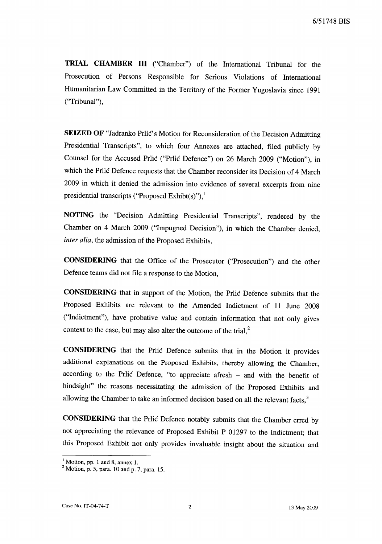**TRIAL CHAMBER III** ("Chamber") of the International Tribunal for the Prosecution of Persons Responsible for Serious Violations of International Humanitarian Law Committed in the Territory of the Former Yugoslavia since 1991 ("Tribunal"),

**SEIZED OF** "Jadranko Prlic's Motion for Reconsideration of the Decision Admitting Presidential Transcripts", to which four Annexes are attached, filed publicly by Counsel for the Accused Prlic ("Prlic Defence") on 26 March 2009 ("Motion"), in which the Prlic Defence requests that the Chamber reconsider its Decision of 4 March 2009 in which it denied the admission into evidence of several excerpts from nine presidential transcripts ("Proposed Exhibt(s)"), $<sup>1</sup>$ </sup>

**NOTING** the "Decision Admitting Presidential Transcripts", rendered by the Chamber on 4 March 2009 ("Impugned Decision"), in which the Chamber denied, *inter alia,* the admission of the Proposed Exhibits,

**CONSIDERING** that the Office of the Prosecutor ("Prosecution") and the other Defence teams did not file a response to the Motion,

**CONSIDERING** that in support of the Motion, the Prlic Defence submits that the Proposed Exhibits are relevant to the Amended Indictment of 11 June 2008 ("Indictment"), have probative value and contain information that not only gives context to the case, but may also alter the outcome of the trial,<sup>2</sup>

**CONSIDERING** that the Prlic Defence submits that in the Motion it provides additional explanations on the Proposed Exhibits, thereby allowing the Chamber, according to the Prlic Defence, "to appreciate afresh - and with the benefit of hindsight" the reasons necessitating the admission of the Proposed Exhibits and allowing the Chamber to take an informed decision based on all the relevant facts,<sup>3</sup>

**CONSIDERING** that the Prlic Defence notably submits that the Chamber erred by not appreciating the relevance of Proposed Exhibit P 01297 to the Indictment; that this Proposed Exhibit not only provides invaluable insight about the situation and

 $\frac{1}{2}$  Motion, pp. 1 and 8, annex 1.

 $2$  Motion, p. 5, para. 10 and p. 7, para. 15.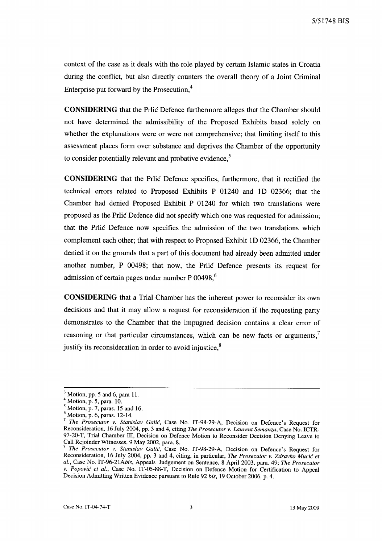5/51748 BIS

context of the case as it deals with the role played by certain Islamic states in Croatia during the conflict, but also directly counters the overall theory of a Joint Criminal Enterprise put forward by the Prosecution.<sup>4</sup>

**CONSIDERING** that the Prlic Defence furthermore alleges that the Chamber should not have determined the admissibility of the Proposed Exhibits based solely on whether the explanations were or were not comprehensive; that limiting itself to this assessment places form over substance and deprives the Chamber of the opportunity to consider potentially relevant and probative evidence,<sup>5</sup>

**CONSIDERING** that the Prlic Defence specifies, furthermore, that it rectified the technical errors related to Proposed Exhibits P 01240 and ID 02366; that the Chamber had denied Proposed Exhibit P 01240 for which two translations were proposed as the Prlic Defence did not specify which one was requested for admission; that the Prlic Defence now specifies the admission of the two translations which complement each other; that with respect to Proposed Exhibit ID 02366, the Chamber denied it on the grounds that a part of this document had already been admitted under another number, P 00498; that now, the Prlic Defence presents its request for admission of certain pages under number P 00498.<sup>6</sup>

**CONSIDERING** that a Trial Chamber has the inherent power to reconsider its own decisions and that it may allow a request for reconsideration if the requesting party demonstrates to the Chamber that the impugned decision contains a clear error of reasoning or that particular circumstances, which can be new facts or arguments, $<sup>7</sup>$ </sup> justify its reconsideration in order to avoid injustice, $<sup>8</sup>$ </sup>

 $3$  Motion, pp. 5 and 6, para 11.

<sup>4</sup> Motion, p. 5, para. 10.

 $<sup>5</sup>$  Motion, p. 7, paras. 15 and 16.</sup>

 $<sup>6</sup>$  Motion, p. 6, paras. 12-14.</sup>

<sup>7</sup>*The Prosecutor v. Stanislav Galic,* Case No. IT-98-29-A, Decision on Defence's Request for Reconsideration, 16 July 2004, pp. 3 and 4, citing *The Prosecutor v. Laurent Semanza,* Case No. ICTR-97-20-T, Trial Chamber Ill, Decision on Defence Motion to Reconsider Decision Denying Leave to Call Rejoinder Witnesses, 9 May 2002, para. 8.

<sup>8</sup>*The Prosecutor v. Stanislav Galic,* Case No. IT-98-29-A, Decision on Defence's Request for Reconsideration, 16 July 2004, pp. 3 and 4, citing, in particular, *The Prosecutor v. Zdravko Mucic et aI.,* Case No. *IT-96-21Abis,* Appeals Judgement on Sentence, 8 April 2003, para. 49; *The Prosecutor v. Popovic et aI.,* Case No. IT-05-88-T, Decision on Defence Motion for Certification to Appeal Decision Admitting Written Evidence pursuant to Rule 92 *bis,* 19 October 2006, p. 4.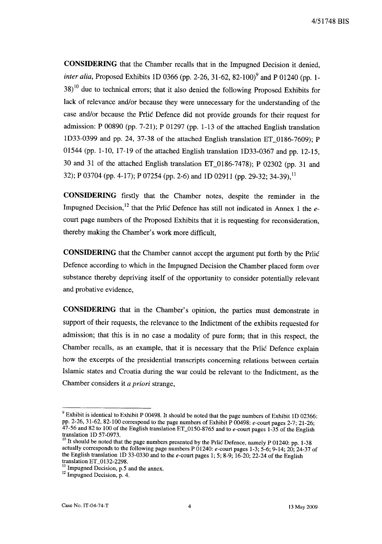**CONSIDERING** that the Chamber recalls that in the Impugned Decision it denied, *inter alia, Proposed Exhibits 1D 0366 (pp. 2-26, 31-62, 82-100)<sup>9</sup> and P 01240 (pp. 1-* $38<sup>10</sup>$  due to technical errors; that it also denied the following Proposed Exhibits for lack of relevance and/or because they were unnecessary for the understanding of the case and/or because the Prlic Defence did not provide grounds for their request for admission: P 00890 (pp. 7-21); P 01297 (pp. 1-13 of the attached English translation ID33-0399 and pp. 24, 37-38 of the attached English translation ET\_0186-7609); P 01544 (pp. 1-10, 17-19 of the attached English translation 1033-0367 and pp. 12-15, 30 and 31 of the attached English translation ET\_OI86-7478); P 02302 (pp. 31 and 32); P 03704 (pp. 4-17); P 07254 (pp. 2-6) and 1D 02911 (pp. 29-32; 34-39), <sup>11</sup>

**CONSIDERING** firstly that the Chamber notes, despite the reminder in the Impugned Decision,<sup>12</sup> that the Prlic Defence has still not indicated in Annex 1 the  $e$ court page numbers of the Proposed Exhibits that it is requesting for reconsideration, thereby making the Chamber's work more difficult,

**CONSIDERING** that the Chamber cannot accept the argument put forth by the Prlic Defence according to which in the Impugned Decision the Chamber placed form over substance thereby depriving itself of the opportunity to consider potentially relevant and probative evidence,

**CONSIDERING** that in the Chamber's opinion, the parties must demonstrate in support of their requests, the relevance to the Indictment of the exhibits requested for admission; that this is in no case a modality of pure form; that in this respect, the Chamber recalls, as an example, that it is necessary that the Prlic Defence explain how the excerpts of the presidential transcripts concerning relations between certain Islamic states and Croatia during the war could be relevant to the Indictment, as the Chamber considers it *a priori* strange,

<sup>&</sup>lt;sup>9</sup> Exhibit is identical to Exhibit P 00498. It should be noted that the page numbers of Exhibit 1D 02366: pp. 2-26, 31-62, 82-100 correspond to the page numbers of Exhibit P 00498: e-court pages 2-7; 21-26;  $47-56$  and 82 to 100 of the English translation ET\_0150-8765 and to e-court pages 1-35 of the English translation ID 57-0973.

 $10$  It should be noted that the page numbers presented by the Prlic Defence, namely P 01240: pp. 1-38 actually corresponds to the following page numbers P 01240: *e-court* pages 1-3; 5-6; 9-14; 20; 24-37 of the English translation ID 33-0330 and to the e-court pages 1; 5; 8-9; 16-20; 22-24 of the English translation ET\_0132-2298.

 $11$  Impugned Decision, p.5 and the annex.

 $12$  Impugned Decision, p. 4.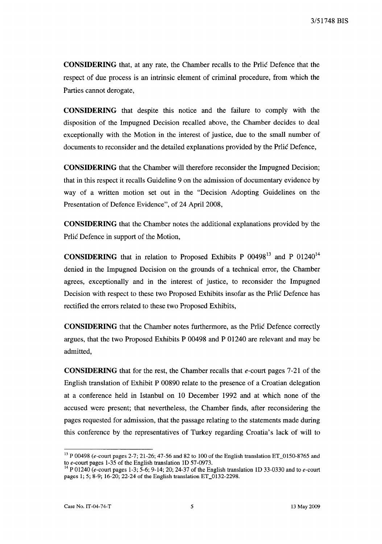**CONSIDERING** that, at any rate, the Chamber recalls to the Prlic Defence that the respect of due process is an intrinsic element of criminal procedure, from which the Parties cannot derogate,

**CONSIDERING** that despite this notice and the failure to comply with the disposition of the Impugned Decision recalled above, the Chamber decides to deal exceptionally with the Motion in the interest of justice, due to the small number of documents to reconsider and the detailed explanations provided by the Prlic Defence,

**CONSIDERING** that the Chamber will therefore reconsider the Impugned Decision; that in this respect it recalls Guideline 9 on the admission of documentary evidence by way of a written motion set out in the "Decision Adopting Guidelines on the Presentation of Defence Evidence", of 24 April 2008,

**CONSIDERING** that the Chamber notes the additional explanations provided by the Prlic Defence in support of the Motion,

**CONSIDERING** that in relation to Proposed Exhibits P 00498<sup>13</sup> and P 01240<sup>14</sup> denied in the Impugned Decision on the grounds of a technical error, the Chamber agrees, exceptionally and in the interest of justice, to reconsider the Impugned Decision with respect to these two Proposed Exhibits insofar as the Prlic Defence has rectified the errors related to these two Proposed Exhibits,

**CONSIDERING** that the Chamber notes furthermore, as the Prlic Defence correctly argues, that the two Proposed Exhibits P 00498 and P 01240 are relevant and may be admitted,

**CONSIDERING** that for the rest, the Chamber recalls that *e-court* pages 7-21 of the English translation of Exhibit P 00890 relate to the presence of a Croatian delegation at a conference held in Istanbul on 10 December 1992 and at which none of the accused were present; that nevertheless, the Chamber finds, after reconsidering the pages requested for admission, that the passage relating to the statements made during this conference by the representatives of Turkey regarding Croatia's lack of will to

<sup>&</sup>lt;sup>13</sup> P 00498 (e-court pages 2-7; 21-26; 47-56 and 82 to 100 of the English translation ET\_0150-8765 and to e-court pages 1-35 of the English translation ID 57-0973.

 $14$  P 01240 (e-court pages 1-3; 5-6; 9-14; 20; 24-37 of the English translation 1D 33-0330 and to e-court pages 1; 5; 8-9; 16-20; 22-24 of the English translation ET\_0132-2298.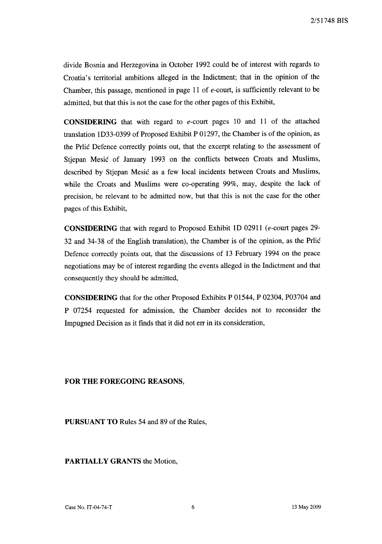divide Bosnia and Herzegovina in October 1992 could be of interest with regards to Croatia's territorial ambitions alleged in the Indictment; that in the opinion of the Chamber, this passage, mentioned in page 11 of *e-court,* is sufficiently relevant to be admitted, but that this is not the case for the other pages of this Exhibit,

CONSIDERING that with regard to *e-court* pages 10 and 11 of the attached translation 1033-0399 of Proposed Exhibit P 01297, the Chamber is of the opinion, as the Prlic Defence correctly points out, that the excerpt relating to the assessment of Stjepan Mesic of January 1993 on the conflicts between Croats and Muslims, described by Stjepan Mesic as a few local incidents between Croats and Muslims, while the Croats and Muslims were co-operating 99%, may, despite the lack of precision, be relevant to be admitted now, but that this is not the case for the other pages of this Exhibit,

CONSIDERING that with regard to Proposed Exhibit 10 02911 *(e-court* pages 29- 32 and 34-38 of the English translation), the Chamber is of the opinion, as the Prlic Defence correctly points out, that the discussions of 13 February 1994 on the peace negotiations may be of interest regarding the events alleged in the Indictment and that consequently they should be admitted,

CONSIDERING that for the other Proposed Exhibits P 01544, P 02304, P03704 and P 07254 requested for admission, the Chamber decides not to reconsider the Impugned Decision as it finds that it did not err in its consideration,

## FOR THE FOREGOING REASONS,

PURSUANT TO Rules 54 and 89 of the Rules,

PARTIALLY GRANTS the Motion,